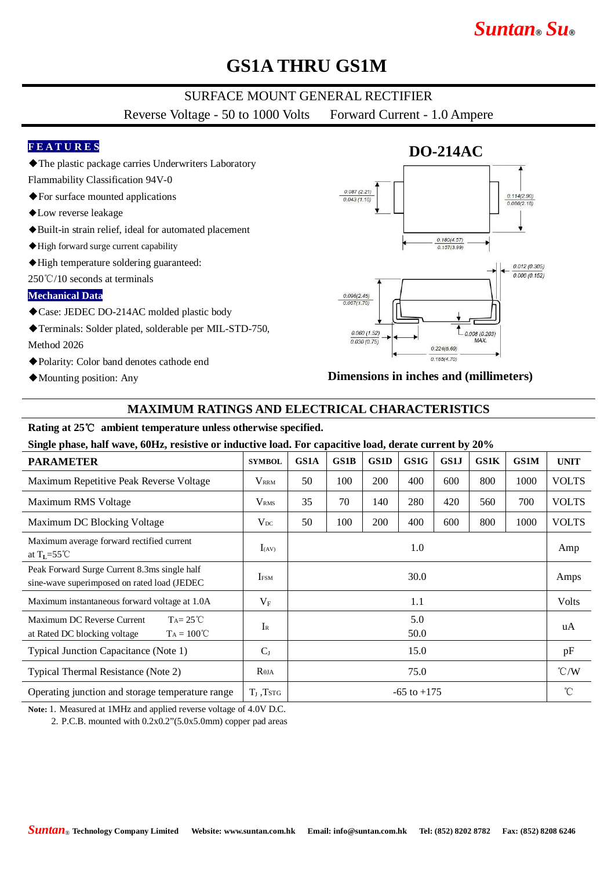# *Suntan***®** *Su***®**

## **GS1A THRU GS1M**

## SURFACE MOUNT GENERAL RECTIFIER

Reverse Voltage - 50 to 1000 Volts Forward Current - 1.0 Ampere

### **F E A T U R E S**

- ◆The plastic package carries Underwriters Laboratory
- Flammability Classification 94V-0
- ◆For surface mounted applications
- ◆Low reverse leakage
- ◆Built-in strain relief, ideal for automated placement
- ◆High forward surge current capability
- ◆High temperature soldering guaranteed:

250℃/10 seconds at terminals

#### **Mechanical Data**

- ◆Case: JEDEC DO-214AC molded plastic body
- ◆Terminals: Solder plated, solderable per MIL-STD-750, Method 2026
- ◆Polarity: Color band denotes cathode end
- ◆Mounting position: Any



#### **Dimensions in inches and (millimeters)**

### **MAXIMUM RATINGS AND ELECTRICAL CHARACTERISTICS**

#### **Rating at 25**℃ **ambient temperature unless otherwise specified.**

#### **Single phase, half wave, 60Hz, resistive or inductive load. For capacitive load, derate current by 20%**

| <b>PARAMETER</b>                                                                                        | <b>SYMBOL</b>     | GS1A            | <b>GS1B</b> | <b>GS1D</b> | GS1G | GS1J | <b>GS1K</b> | <b>GS1M</b> | <b>UNIT</b>     |
|---------------------------------------------------------------------------------------------------------|-------------------|-----------------|-------------|-------------|------|------|-------------|-------------|-----------------|
| Maximum Repetitive Peak Reverse Voltage                                                                 | $\rm V_{\rm RRM}$ | 50              | 100         | <b>200</b>  | 400  | 600  | 800         | 1000        | <b>VOLTS</b>    |
| Maximum RMS Voltage                                                                                     | V <sub>RMS</sub>  | 35              | 70          | 140         | 280  | 420  | 560         | 700         | <b>VOLTS</b>    |
| Maximum DC Blocking Voltage                                                                             | $V_{DC}$          | 50              | 100         | 200         | 400  | 600  | 800         | 1000        | <b>VOLTS</b>    |
| Maximum average forward rectified current<br>at $T_{L} = 55^{\circ}$ C                                  | $I_{(AV)}$        | 1.0             |             |             |      |      |             |             | Amp             |
| Peak Forward Surge Current 8.3ms single half<br>sine-wave superimposed on rated load (JEDEC             | <b>IFSM</b>       | 30.0            |             |             |      |      |             |             | Amps            |
| Maximum instantaneous forward voltage at 1.0A                                                           | $V_{\rm F}$       | 1.1             |             |             |      |      |             |             | <b>Volts</b>    |
| Maximum DC Reverse Current<br>$Ta = 25^{\circ}C$<br>$Ta = 100^{\circ}C$<br>at Rated DC blocking voltage | $I_{R}$           | 5.0<br>50.0     |             |             |      |      |             |             | uA              |
| Typical Junction Capacitance (Note 1)                                                                   | $C_{J}$           | 15.0            |             |             |      |      |             |             | pF              |
| Typical Thermal Resistance (Note 2)                                                                     | $R_{\theta JA}$   | 75.0            |             |             |      |      |             |             | $\mathcal{C}/W$ |
| Operating junction and storage temperature range                                                        | $T_{J}$ , Tstg    | $-65$ to $+175$ |             |             |      |      |             |             | $\rm ^{\circ}C$ |

**Note:** 1. Measured at 1MHz and applied reverse voltage of 4.0V D.C.

2. P.C.B. mounted with  $0.2x0.2$ " $(5.0x5.0mm)$  copper pad areas